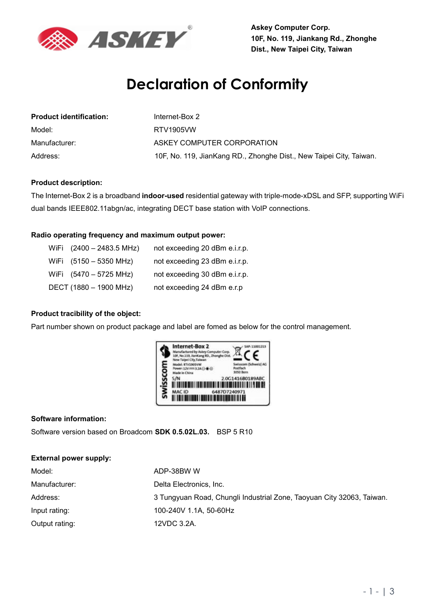

**Askey Computer Corp. 10F, No. 119, Jiankang Rd., Zhonghe Dist., New Taipei City, Taiwan** 

# **Declaration of Conformity**

| <b>Product identification:</b> | Internet-Box 2                                                      |
|--------------------------------|---------------------------------------------------------------------|
| Model:                         | RTV1905VW                                                           |
| Manufacturer:                  | ASKEY COMPUTER CORPORATION                                          |
| Address:                       | 10F, No. 119, JianKang RD., Zhonghe Dist., New Taipei City, Taiwan. |

#### **Product description:**

The Internet-Box 2 is a broadband **indoor-used** residential gateway with triple-mode-xDSL and SFP, supporting WiFi dual bands IEEE802.11abgn/ac, integrating DECT base station with VoIP connections.

### **Radio operating frequency and maximum output power:**

| WiFi (2400 - 2483.5 MHz) | not exceeding 20 dBm e.i.r.p. |
|--------------------------|-------------------------------|
| WiFi (5150 - 5350 MHz)   | not exceeding 23 dBm e.i.r.p. |
| WiFi (5470 - 5725 MHz)   | not exceeding 30 dBm e.i.r.p. |
| DECT (1880 - 1900 MHz)   | not exceeding 24 dBm e.r.p    |

#### **Product tracibility of the object:**

Part number shown on product package and label are fomed as below for the control management.



#### **Software information:**

Software version based on Broadcom **SDK 0.5.02L.03.** BSP 5 R10

#### **External power supply:**

| Model:         | ADP-38BW W                                                            |
|----------------|-----------------------------------------------------------------------|
| Manufacturer:  | Delta Electronics, Inc.                                               |
| Address:       | 3 Tungyuan Road, Chungli Industrial Zone, Taoyuan City 32063, Taiwan. |
| Input rating:  | 100-240V 1.1A, 50-60Hz                                                |
| Output rating: | 12VDC 3.2A.                                                           |
|                |                                                                       |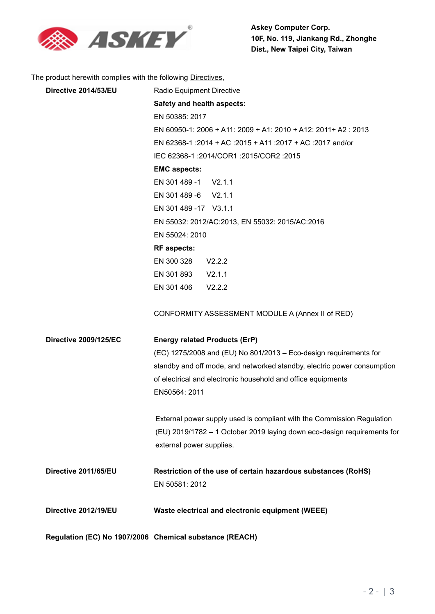

The product herewith complies with the following Directives,

| Directive 2014/53/EU         | Radio Equipment Directive                                               |
|------------------------------|-------------------------------------------------------------------------|
|                              | Safety and health aspects:                                              |
|                              | EN 50385: 2017                                                          |
|                              | EN 60950-1: 2006 + A11: 2009 + A1: 2010 + A12: 2011+ A2: 2013           |
|                              | EN 62368-1 :2014 + AC :2015 + A11 :2017 + AC :2017 and/or               |
|                              | IEC 62368-1 :2014/COR1 :2015/COR2 :2015                                 |
|                              | <b>EMC aspects:</b>                                                     |
|                              | EN 301 489 -1 V2.1.1                                                    |
|                              | EN 301 489 -6 V2.1.1                                                    |
|                              | EN 301 489 - 17 V3.1.1                                                  |
|                              | EN 55032: 2012/AC:2013, EN 55032: 2015/AC:2016                          |
|                              | EN 55024: 2010                                                          |
|                              | <b>RF</b> aspects:                                                      |
|                              | EN 300 328<br>V2.2.2                                                    |
|                              | EN 301 893 V2.1.1                                                       |
|                              | EN 301 406<br>V2.2.2                                                    |
|                              | CONFORMITY ASSESSMENT MODULE A (Annex II of RED)                        |
| <b>Directive 2009/125/EC</b> | <b>Energy related Products (ErP)</b>                                    |
|                              | (EC) 1275/2008 and (EU) No 801/2013 - Eco-design requirements for       |
|                              | standby and off mode, and networked standby, electric power consumption |
|                              | of electrical and electronic household and office equipments            |
|                              | EN50564: 2011                                                           |
|                              | External power supply used is compliant with the Commission Regulation  |
|                              | (EU) 2019/1782 - 1 October 2019 laying down eco-design requirements for |
|                              | external power supplies.                                                |
| Directive 2011/65/EU         | Restriction of the use of certain hazardous substances (RoHS)           |
|                              | EN 50581: 2012                                                          |
| Directive 2012/19/EU         | Waste electrical and electronic equipment (WEEE)                        |
|                              | Regulation (EC) No 1907/2006 Chemical substance (REACH)                 |
|                              |                                                                         |